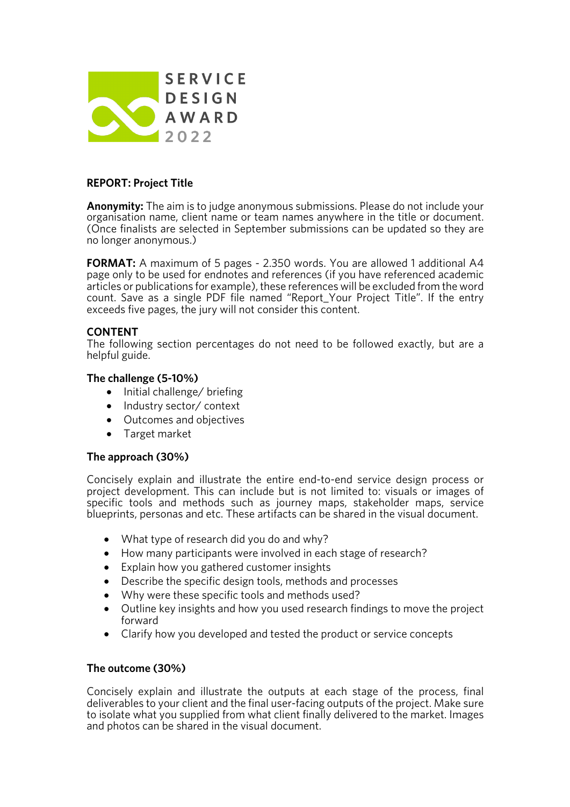

# **REPORT: Project Title**

**Anonymity:** The aim is to judge anonymous submissions. Please do not include your organisation name, client name or team names anywhere in the title or document. (Once finalists are selected in September submissions can be updated so they are no longer anonymous.)

**FORMAT:** A maximum of 5 pages - 2.350 words. You are allowed 1 additional A4 page only to be used for endnotes and references (if you have referenced academic articles or publications for example), these references will be excluded from the word count. Save as a single PDF file named "Report\_Your Project Title". If the entry exceeds five pages, the jury will not consider this content.

## **CONTENT**

The following section percentages do not need to be followed exactly, but are a helpful guide.

### **The challenge (5-10%)**

- Initial challenge/ briefing
- Industry sector/ context
- Outcomes and objectives
- Target market

#### **The approach (30%)**

Concisely explain and illustrate the entire end-to-end service design process or project development. This can include but is not limited to: visuals or images of specific tools and methods such as journey maps, stakeholder maps, service blueprints, personas and etc. These artifacts can be shared in the visual document.

- What type of research did you do and why?
- How many participants were involved in each stage of research?
- Explain how you gathered customer insights
- Describe the specific design tools, methods and processes
- Why were these specific tools and methods used?
- Outline key insights and how you used research findings to move the project forward
- Clarify how you developed and tested the product or service concepts

#### **The outcome (30%)**

Concisely explain and illustrate the outputs at each stage of the process, final deliverables to your client and the final user-facing outputs of the project. Make sure to isolate what you supplied from what client finally delivered to the market. Images and photos can be shared in the visual document.